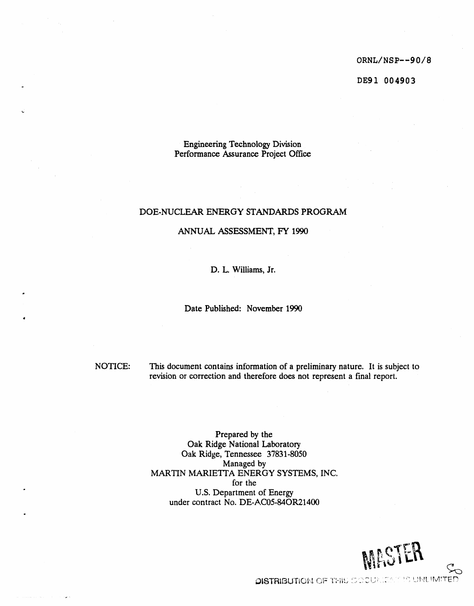ORNL/NSP--**9**0/**8**

DE**9**1 00**49**0**3**

**Engineering Technology Division** Perform**an**ce As*s***u**r**an**ce **P**roject Office

# DOE-NUCLEAR ENERGY ST*A*NDARD**S** PROGR*A*M

## *A*NNUAL *A*S**S**ESSMENT, FY 1990

D. L. Williams, Jr.

Date Published: November 1990

m

**4**

J

NOTICE: This document contains informat**i**on of a preliminary nature. It is subject to revision or correction and therefore doe*s* not repre*s*ent a final report.

> Prepared by the Oak Ridge National Laboratory Oak Ridge, Tennessee 37831-8050 Managed by M*AR*TIN MARIETTA ENERGY SYSTEMS, INC. for the U.S. Department of Energy under contract No. DE-AC05-84OR21400



**DISTRIBUTION OF THIS SOCURRENT IS UNUMITED**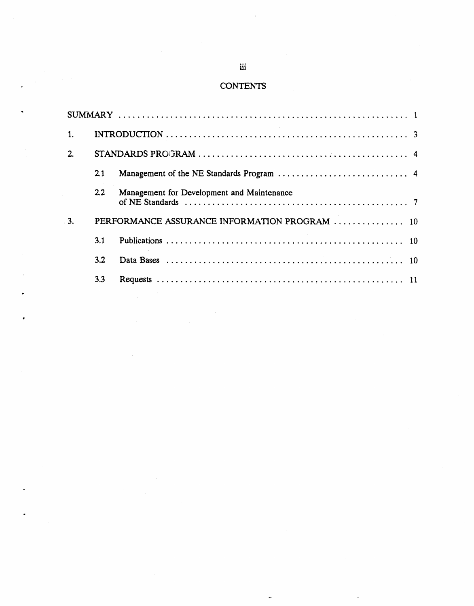# **CONTENTS**

| 2. |                                               |                                                                                                                                                            |  |  |  |
|----|-----------------------------------------------|------------------------------------------------------------------------------------------------------------------------------------------------------------|--|--|--|
|    | 2.1                                           |                                                                                                                                                            |  |  |  |
|    | $2.2\phantom{0}$                              | Management for Development and Maintenance<br>of NE Standards $\ldots \ldots \ldots \ldots \ldots \ldots \ldots \ldots \ldots \ldots \ldots \ldots \ldots$ |  |  |  |
| 3. | PERFORMANCE ASSURANCE INFORMATION PROGRAM  10 |                                                                                                                                                            |  |  |  |
|    | 3.1                                           |                                                                                                                                                            |  |  |  |
|    | 3.2                                           |                                                                                                                                                            |  |  |  |
|    | 3.3                                           |                                                                                                                                                            |  |  |  |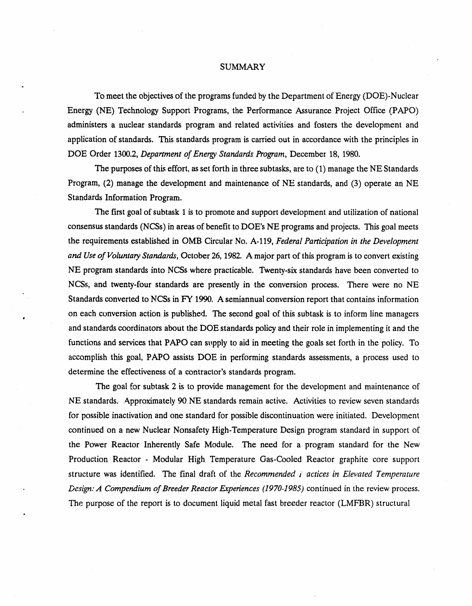#### SUMMARY

To meet the objectives of the programs funded by the Department of Energy (DOE)-Nuclear - **E**n**e**rgy (NE)Techn**o**l**o**gy Supp**o**rt Pr**o**grams**, t**h**e** Per**fo**rmance Assurance Pro**j**ect **O**ffice (P**A**PO) administers a nuclear standards program and related activities and fosters the development and application of standards. This standards program is carried out in accordance with the principles in DOE Order 1300.2, *Department of Energ*y *Standards Program*, December 18, 1980.

The purpose*s* of this effort, as set forth in three subtasks, are to (1) manage the NE Standards Program, (2) manage the development and maintenance of NE standards, and (3) operate an NE Standard*s* Information Program.

The **fi**rst goal of subtask 1 is to promote and *s*upport development and utilization of national consensu*s* standards (NCSs) in areas of benefit to DOE's NE programs and project*s*. This goal meets the requirements established in OMB Circular No. A-119, *Federal Participation in the Development and Use of Voluntary Standards*, October 26, 1982. A major part of this program is to convert existing NE program standards into NCSs where practicable. Twenty-six standards have been converted to NCSs, and twenty-four standards are pre*s*ently in the conversion process. There were no NE Standards converted to NCSs in FY 1990. A semiannual conversion report that contains information **•** on each conversion action **is** publi**s**hed. The **s**econd goal of this subtask is to inform line managers and standards coordinators about the DOE standards policy and their role in implementing it and the functions and services that PAPO can supply to aid in meeting the goals set forth in the policy. To accomplish this goal, PAPO assists DOE in performing standards assessments, a process used to determine the effectiveness of a contractor**'**s stan**d**ards program.

The goal for subtask 2 is to provide management for the development and maintenance of NE standards. Approximately 90 NE standards remain active. Activities to review seven standards for possible **i**nactivation and one standard for possible discontinuation were initiated. Development continued on a new Nuclear Nonsafety **H**igh**-**Temperature Design program standard in support of the Power Reactor Inherently Safe Module. The need for a program standard for the New Production Reactor **-** Modular High Temperature Gas**-**Cooled Reactor graphite core support **s**tructure was identified. The final draft of the *Recomme*nd*ed* i *actices in Elevated Temperature* . *Design: A Compe*nd*ium of Breeder Reactor Experiences (1970*-*1985)* continued in the review process. The purpose of the report is to document liquid metal fast breeder reactor (LMFBR) structural

o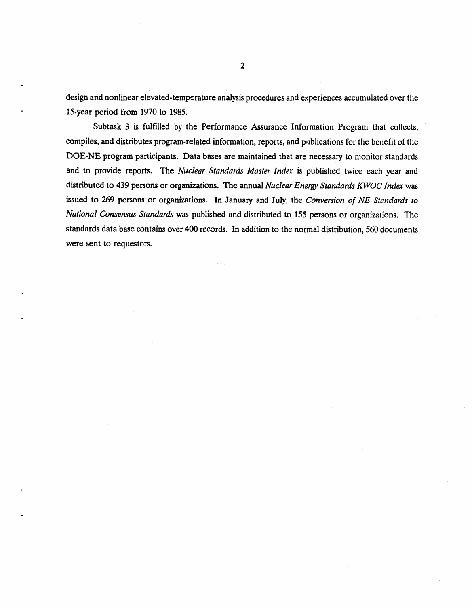**d**e*s*ign a**nd non**li**n**ea**r** elevated**-**te**m**p**e**rature a**n**alys**is** proced**u**res an**d** experie**n**ce*s* accumul**a**ted over the 15-year period from 1970 to 1985.

Subtask 3 is fulfilled by the Pe**rf**ormance As*s*urance Information Program that collects, compil**e**s, and distributes program-related information, reports, and publications for the benefit of the DOE-NE program participants. Data bases are maintained that are nece*s*sary to monitor standards and to provide report*s*. The *Nuclear Standards Master Index* is p**u**blished twice each year and distributed to 439 per**s**ons or organizations. The annual *Nuclear Energ*y *Sta*nd*ar*ds *KWOC Index* was issued to 269 persons or organizations. In January and July, the *Conversion of NE Standards to National Consensus Standards* was published and distributed to 155 persons or organizations. The standards data base contains over 400 records. In addition to the normal distribution, 560 documents were sent to reque*s*tors.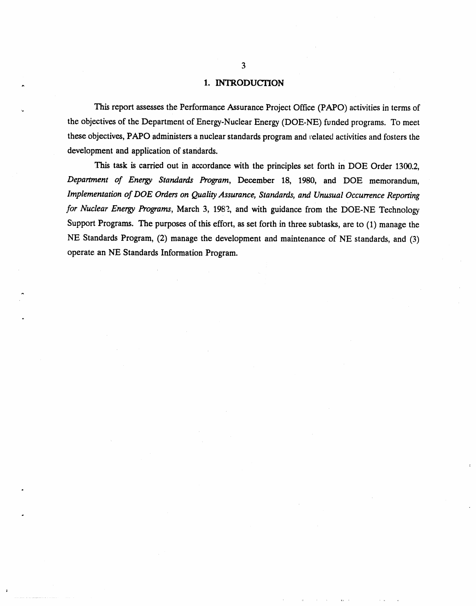# . 1. INTROD**U***C*I'ION

. This report asse*s*ses the **P**erformance Assura**n**ce Project Office (P*A*PO) activities in terms of the objectives of the Department of Energy-Nuclear Energy (DOE-NE) funded programs. To meet these objectives, PAPO administers a nuclear standards program and related activities and fosters the development and application of standards.

This task is carried out in accordance with the principles set forth in DOE Order 1300.2, *Depar*t*ment of Energy Sta*nd*ards Program*, December 18, 1980, and DOE memorandum, *Implementation of DOE Orders on Quality Assurance, Sta*nd*ards, and Unusual Occurrence Reporting for Nuclear Energy* Pr*o*gr*ams*, March 3, 1982, and with guidance from the DOE-NE Technology Support Programs. The purposes of this effort, as set forth in three subtasks, are to (1) manage the NE Standards Program, (2) manage the development and maintenance of NE standards, and (3) operate an NE Standards Information Program.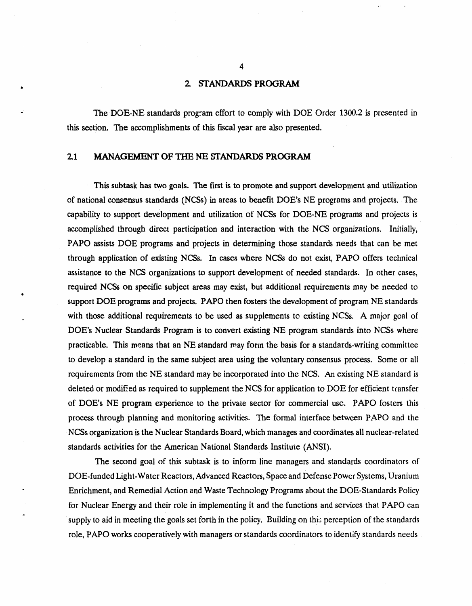# **. 2. STANDARDS P**R**OGRAM**

The DOE-NE standards program effort to comply with DOE Order 1300.2 is presented in this *s*ection. The accomplishment*s* of this fiscal year are also pre*s*ented.

# **2.1 MA**N**AGEMENT OF THE NE** S**TANDARDS PROGRAM**

l**t**

b**.**

This **s**ubtask ha*s* two goals. The first is to p**r**omote and support development and utilization of national consensus standards (NCSs) in area*s* to benefit **D**OE's NE programs and projects. The capability to support development and utilization of' NCSs for DOE-NE programs and projects is accomplished through direct participation and interaction with the NCS organizations. Initially, PAPO assists DOE programs and project*s* in determining those standards needs that can be met through application of existing NCSs. In cas*e*s where NCSs do not exist, PAPO offers technical assistance to the N*C*S organizations to *s*upport development of needed standards. In other cases, required NCSs on **s**pecific subject areas may exist, but additional requirement*s* may be needed to support DOE programs and projects. PAPO then fosters the development of program NE standards **,**, with tho**s**e additi**o**nal requirements to be used as supplements to existing NCSs. A major goal of DOE's Nuclear Standards Program is to convert existing NE program standards **i**nto NCSs where practicable. This means that an NE standard may fonn the basis for a standards-writing committee to develop a *s*tandard in the same subject area using the voluntary consensus process. Some or ali requirements from the NE standard may be incorporated into the NCS. An existing NE standard is deleted or modifi**e**d as required to supplement the NCS for application to DOE for efficient transfer of DOE's NE program experience to the private sector for commercial use. PAPO fosters this process through planning and monitoring activities. The formal interface between PAPO and the NCSs organization isthe Nuclear Standards Board, which manages and coordinates ali nuclear-related standards activities for the *A*merican National Standards Institute (ANSI).

The second goal of this subtask is to inform line managers and standards coordinators of DOE-funded Light-Water Reactors, Advanced Reactors, Space and Defense Power Systems, Uranium " Enrichment, and Remedial Action and Waste Technology Program*s* about the DOE-Standards Policy for Nuclear Energy and their role in implementing it and the functions and services that P*A*PO can supply to aid in meeting the goals set forth in the policy. Building on this perception of the standards role, PAPO works cooperatively with managers or standards coordinators to identify standards needs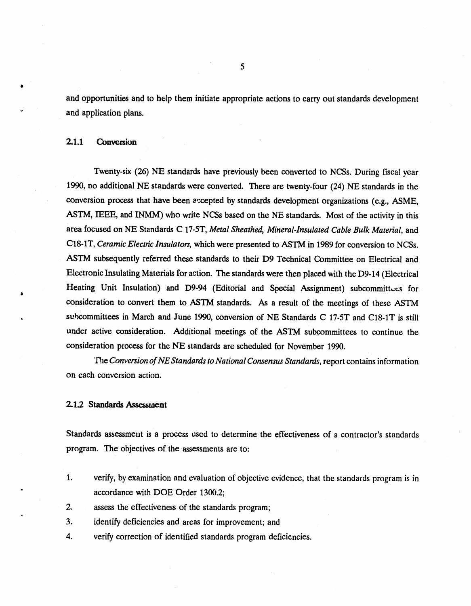a**nd** opportunit**i**e*s* a**nd** to **h**elp t**h**e**m ini**ti**a**te a**p**p**r**opriate actions to carry out **s**tandards development **"** and **a**pp**li**cat**i**on plans.

## **2.**1**.1** C**onv**e**r**s**ion**

8

Twe**n**.ty-six**(**26**)** NE sta**nd**a**r**ds h**av**e previou*s*l**y** bee**n** co**n**verted to NCSs. Du**r**ing fiscal **y**e**ar** 1990, **n**o additional NE **s**tandard*s* were converted. There are twen**t**y-four (24) NE standards i**n** the conversion process that have been accepted by standards development organizations (e.g., ASME, *A*STM, IEEE, and INMM) who write NCSs based on the hrE **s**tandards. Most of the activity in this area focused on hrE Standards C 17-5T, *Metal Sheathed*, *Mineral*-*Insulated Cable Bulk Material*, and C18-1T, *Ceramic Elect*r*ic Insulators,* which were pre*s*ented to *A*STM in 1989 for conversion to NCSs. *A*STM **s**ubsequently referred the*s*e standards to their D9 Technical Committee on Electrical and Electronic Insulating M**a**terials for action. The *s*tandards were then placed with the D9-14 (Electrical Heating Unit Insulation) and D9-94 (Editorial and Special Assignment) subcommittees for consideration to convert them to *A*STM **s**tandards. As a re*s*ult of the meetings of these ASTM • **s**ubco**mm**ittee*s* **in Mar**ch a**nd** J**un**e **1**990**,** co**n**versi**on o**f N**E S**ta**nd**ards C 17-5T **a**n**d** C18-1**T** is still under active co**ns**ideration. *A*d**d**itional meetings of the ASTM subcommittee*s* to continue the consideration proce*s*s for the NE *s*tandards are scheduled **f**or November 1990.

'D\_e*Conversion ofNE Standards to National Consensus Standards*, report contains information on each conversion action.

## **2**.**1**.2 **Standards Asse**ssm**ent**

Sta**nd**a**r**ds **a**ssess**m**e**n**t is **a** proce*ss* use**d** t**o d**etermine the effe**c**ti**v**ene*s*s **o**f a contractor's stan**d**ar**d**s program. The objectives of the assessment*s* are to:

- 1. verify, by examination and evaluation of objective evidence, that the standards program is in accordance with DOE Order 1300.2;
- 2. assess the effectiveness of the standard**s** program;
- 3. identify deficiencies and areas for improvement; and
- 4. verify correction of identified standards program deficiencies.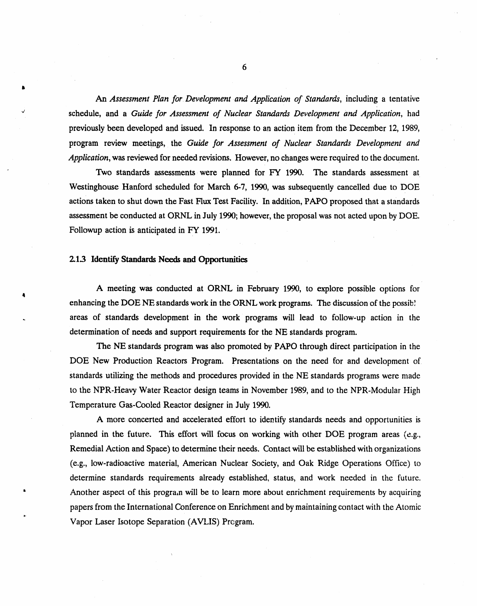**An** *Assessment Plan for*, *Development*,*and Application of Sta*nd*ards***, in**cl**uding** a te**n**tat**iv**e **s**chedule**,** a**nd a** *Guide for Assessment of Nuclear Sta*nd*ards Development and Applicat*i*on*, h**a**d previously been developed and issued. In re*s*ponse to an action item from the December 12, 1989, program review meetings, the *Guide for Assessment of Nuclear Standards Development and Application*, was reviewed for needed revision**s**. However, no changes were required to the document.

Tw**o s**ta**nd**ard**s** as**s**e*s***s**me**n**t*s* were pla**nn**ed **for** FY 1990. The **s**t**and**ards assessme**n**t at Westinghouse Hanford **s**cheduled for March 6-7, 1990, was **s**ubsequently cancelled due to DOE actions taken to shut down the **F**ast Flux Test Facility. In addition, PAPO proposed that a **s**tandards assessment be conducted at ORNL in July 1990; however, the proposal was **n**ot acted up**o**n by DOE. Followup action is anticipated in FY 1991.

#### **2**.1**.3 Ident**i**fy StandardsNeeds and** Opp**o***r***tun**i**ti**es

&

<sup>A</sup> **<sup>m</sup>**eet**in**<sup>g</sup> **<sup>w</sup>**a*<sup>s</sup>* co**nd**ucted at ORNL **in** Febru**a**ry <sup>1990</sup>**,** to explo**r**<sup>e</sup> po**ss**ible options for <sup>4</sup> enhancing the DOE NE standards work in the ORNL work programs. The discussion of the possib! areas of standard*s* development i**n** the work programs will lead to follow-up action in the determination of needs and **s**upport requirement*s* for the NE **s**tandards program.

The NE *s*tandards program was also promoted by P*A*PO through direct participation in the DOE New Production Reactors Program. Presentations on the need for and development of standards utilizing the methods and procedures provided in the NE standards programs were made to the NPR-Heavy Water Reactor design teams in November 1989, and to the NPR-Modular High Temperature Gas-Coo**l**e**d R**e**a**ctor **d**e*s***i**gner in July 1990.

A more concerted and accelerated effort to identify standards needs and opportunities is planned in the future. This effort will focus on working with other DOE program areas (e.g., Remedial Action and Space) to determine their needs. Contact will be established with organizations (e.g., low-radioactive material, American Nuclear Society, and Oak Ridge Operations Office) to determine standards requirements already established, status, and work needed in the future. • *A*nother a**s**pect of this progra**m** will be to learn more about enrichment requirements by acquiring papers from the International Conference on Enrichment and by maintaining contact with the Atomic Vapor Laser Isotope Separation (AVLIS) Prc\_gram.

6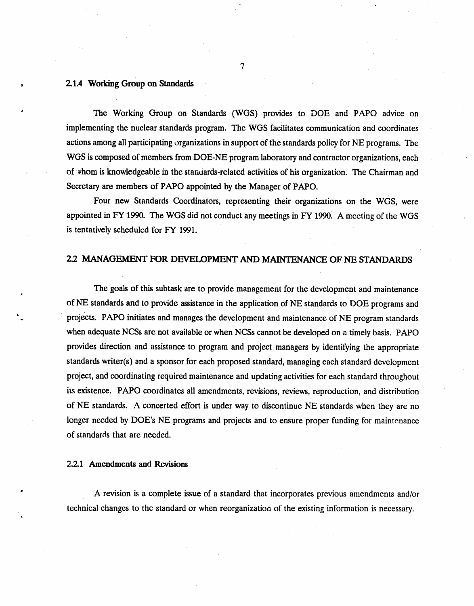## 2.1.4 Working Group on Standards

The Working Group on Standards (WGS) provides to DOE and PAPO advice on implementing the nuclear standards program. The WGS facilitates communication and coordinates actions among all participating organizations in support of the standards policy for NE programs. The WGS is composed of members from DOE-NE program laboratory and contractor organizations, each of  $\psi$  whom is knowledgeable in the standards-related activities of his organization. The Chairman and Secretary are members of PAPO appointed by the Manager of PAPO.

Four new Standards Coordinators, representing their organizations on the WGS, were appointed in FY 1990. The WGS did not conduct any meetings in FY 1990. A meeting of the WGS is tentatively scheduled for FY 1991.

# 2.2 MANAGEMENT FOR DEVELOPMENT AND MAINTENANCE OF NE STANDARDS

The goals of this subtask are to provide management for the development and maintenance of NE standards and to provide assistance in the application of NE standards to DOE programs and projects. PAPO initiates and manages the development and maintenance of NE program standards when adequate NCSs are not available or when NCSs cannot be developed on a timely basis. PAPO provides direction and assistance to program and project managers by identifying the appropriate standards writer(s) and a sponsor for each proposed standard, managing each standard development project, and coordinating required maintenance and updating activities for each standard throughout its existence. PAPO coordinates all amendments, revisions, reviews, reproduction, and distribution of NE standards. A concerted effort is under way to discontinue NE standards when they are no longer needed by DOE's NE programs and projects and to ensure proper funding for maintenance of standards that are needed.

2.2.1 Amendments and Revisions

A revision is a complete issue of a standard that incorporates previous amendments and/or technical changes to the standard or when reorganization of the existing information is necessary.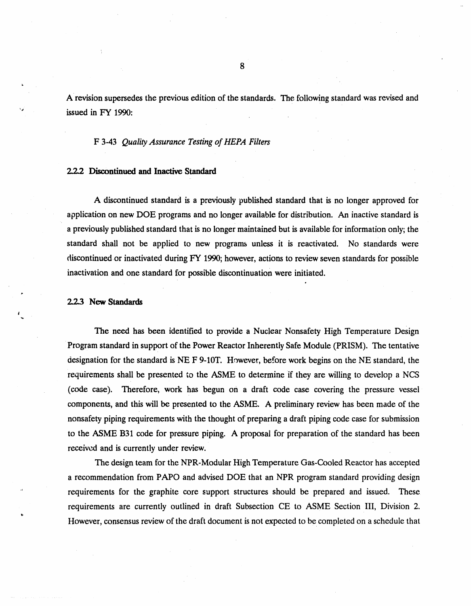A revisio**n s**uper**s**ede*s* the previou*s* edition of the **s**ta**n**da**r**ds. The following **s**tandard was rex*d*sed and " is*s*ued i**n** FY 1990**:**

#### F 3**-**43 *Quality Assurance Testing of HEPA Filters*

### **2.2.2 Discon**ti**nu**ed **and Ina**c**tiv**e **Standard**

A **d**i**s**continue**d s**ta**nd**ar**d** is a previously **p**ublished **s**ta**nd**ar**d** th**a**t is no longer app**r**oved for application on new DOE programs and no longer available for distribution. *A*n inactive standard is a previously published standard that is no longer maintained but is available for information only; the standard shall not be applied to new programs unle*ss* it is reactivated. No standards were **dis**co**n**tinued or **i**n**a**ct**i**v**a**te**d d**uri**n**g FY 1990; howeve**r**, action**s** to **r**eview seven standards for possible inactivation and one standard **f**or possible di**s**continuatio**n** were initiated.

## 2.Z3 Ne**w** St**an**dard*s*

6

The need has been identified to provide a Nuclear Nonsafety High Temperature Design Program standard in **s**upport of the Power Reactor Inherently Safe Module (PRISM). The tentative designation for the standard is NE F 9-10T. However, before work begins on the NE sta**n**dard, the requirements shall be presented to the ASME to determine if they are willing to develop a NCS (code ca**s**e). Therefore, work has begun on a draft code case covering the pressure vessel components, and this will be presented to the ASME. A preliminary review has been made of the nonsafety piping requirements with the thought of preparing a draft piping code case for submission to the ASME B31 code for pre*s*sure piping. A proposal for preparation of the standard has been received and is currently under review.

The design team for the NPR-Modular High Temperature Gas-Cooled Reactor has accepted a recommendation from PAPO and advised DOE that an NPR program standard providing design .4 requ**i**rements for the gr**a**ph**i**te core **s**upport **s**tructures should be prepared and issued. These requirements are currently outlined in draft Subsection CE to *A*SME Section III, Division 2. However, consensus review of the draft document is not expected to be completed on a schedule that

8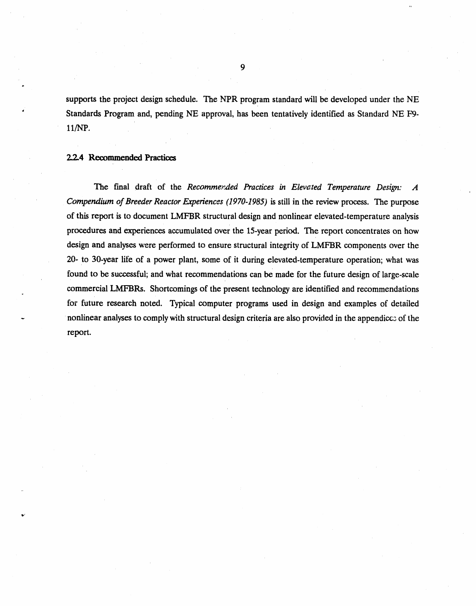**s**upport*s* t**h**e project de*s*ign **s**chedule. The NPR progra**m s**ta**n**dard wi**l**l be developed u**n**der the NE St**anda**rd*s* P**r**ogram **a**n**d**, pe**nd**ing NE approv**a**l, has bee**n** tent**a**tively **id**e**n**t**ifi**ed as St**a**n**d**ard NE F9 ll*/*NP*.*

#### **2.2.**4 **Recommend**ed **Practices**

j.

The fi**n**al draft **o**f the *Recornme:e*\_*ed Practices in Elevated Temperature Design: A Compendium of Breeder Reactor Eweriences (1970*-*1985)* is still in the review process. The purpose of this report is to document LMFBR structural des**i**gn and nonlinear elevated-temperature analysis procedure*s* and experience*s* accumulated over the 15-year period. The report concentrate**s** on how design and analyses were performed to ensure structural integrity of LMFBR components over the 20- to 30-year life of a power plant, some of it during elevated-temperature operation; what was fo**u**nd to be succes*s*ful; and what recommendations can be made for the future design of large-scale commercial LMFBRs. Shortcomings of the present technology **a**re identified and recommendations for future re*s*earch noted. Typical computer programs used in design and examples of detailed nonlinear analyses to comply with structural design criteria are also provided in the appendices of the report.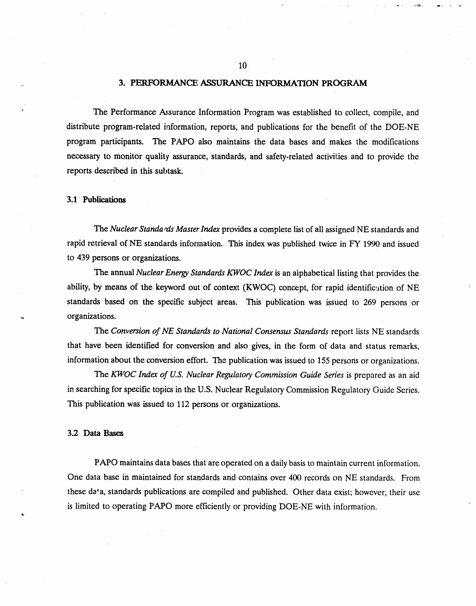## **3. P**ER**F**ORMAN**C**E A**S**SUR*A*N**C**E INFORMATIO**N** PR*O*GRAM

The Perform**a**nce Ass**u**r**a**nce I**n**form**a**tion Progra**m** was estab**l**ished to collect, compile, and distribute program**-**related information, reports, and publications for the benefit of the DOE**-**NE program participants. The PAPO also maintains the data bases and make*s* the modifications necessary to monitor quality assurance, standards, and safety**-**related activities and to provide the reports described in this subtask.

### 3**.**1 **Pub**licati**o***ns*

The *Nuclear Standa,***'***ds Master Index* provides a complete list of ali assigned NE standards and rapid retrieval of NE standards information. This index was published twice in FY 1990 and issued to 439 persons or organizations.

The annual *Nuclear Energy Sta*nd*ards KWOC I*ndex is an alphabetical listing that provides the abilit**y***,* b**y m**eans of **t**he keyword out of context (KWOC) concept, for rapid identificution of NE standards based on the specific subject areas. This publication was issued to 269 persons or . or**g**anizat**i**ons.

Th**e** *Conversion of NE Standards to National Consensus Standards* **re**port lists NE **st**andards that hav**e** been iden**t**ified fo**r** conv**er**sion and also giv**es**, in **t**he form of data and statu**s r**emark**s**, informa**t**ion abou**t t**h**e** conv**e**rsion **e**ffo**rt.** The publication was issued to 155 p**e**rson**s** o**r** organiza**t**ions.

The *KWOC I*nd*ex of U*.*S*. *Nuclear Regulatory Commission Guide Series* is prepared as an aid in searching for specific topics in the U.S. Nuclear Regulator**y** Commission Regulatory Guide Series. This publication was issued to 112 persons or organizations.

#### **3.**2 D**at**a **B**a**ses**

PAPO maintains data bases that are operated on a daily basis to maintain current information. One data base in maintained for standards and contains over 400 records on NE standards. From these da'a, standards publications are compiled and published. Other data exist; however, their use is limited to operating PAPO more efficiently or providing DOE-NE with information.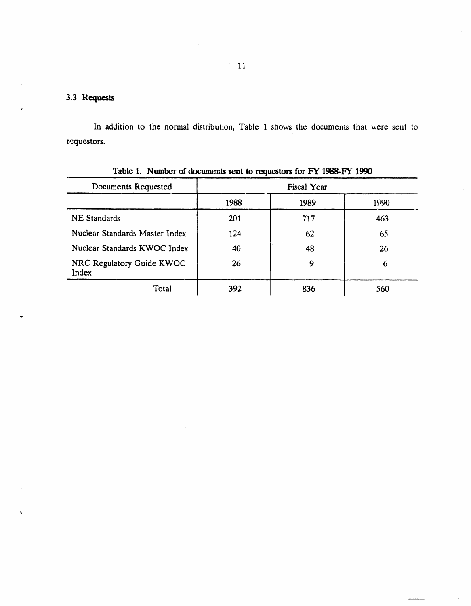# 3.3 Requests

 $\bullet$ 

 $\mathbf{r}$ 

In addition to the normal distribution, Table 1 shows the documents that were sent to requestors.

| Documents Requested                | <b>Fiscal Year</b> |      |      |
|------------------------------------|--------------------|------|------|
|                                    | 1988               | 1989 | 1990 |
| <b>NE</b> Standards                | 201                | 717  | 463  |
| Nuclear Standards Master Index     | 124                | 62   | 65   |
| Nuclear Standards KWOC Index       | 40                 | 48   | 26   |
| NRC Regulatory Guide KWOC<br>Index | 26                 | 9    | 6    |
| Total                              | 392                | 836  | 560  |

Table 1 Number of documents sent to requestors for FY 1988-FY 1990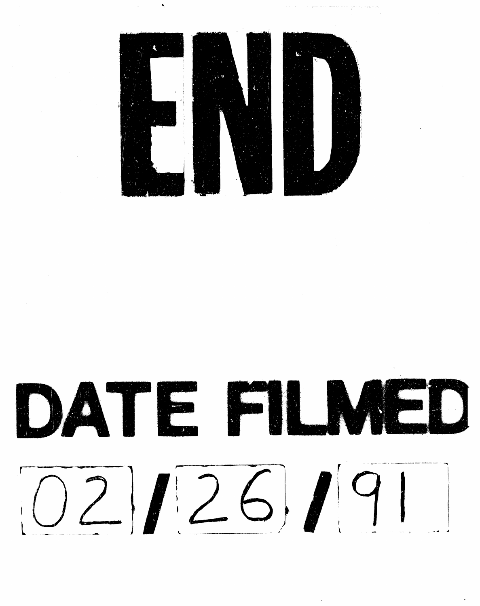